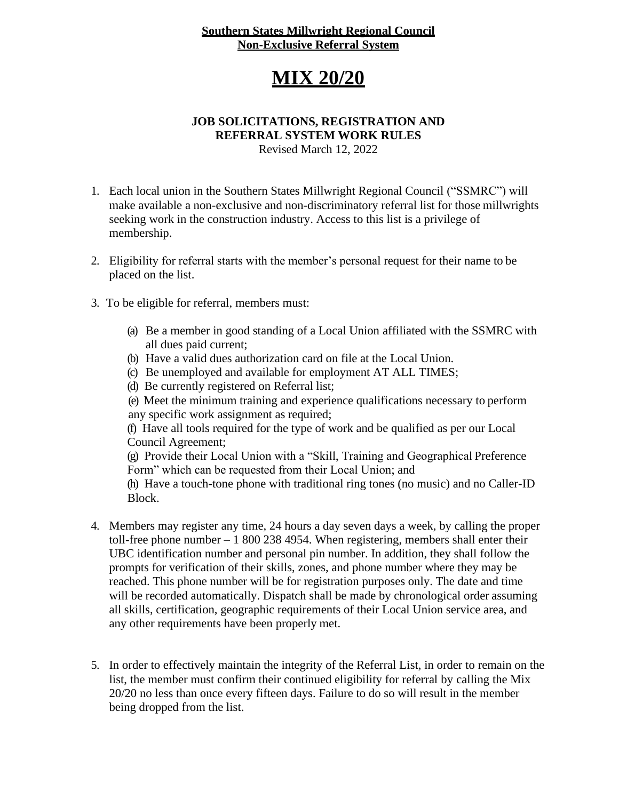#### **Southern States Millwright Regional Council Non-Exclusive Referral System**

## **MIX 20/20**

#### **JOB SOLICITATIONS, REGISTRATION AND REFERRAL SYSTEM WORK RULES**

Revised March 12, 2022

- 1. Each local union in the Southern States Millwright Regional Council ("SSMRC") will make available a non-exclusive and non-discriminatory referral list for those millwrights seeking work in the construction industry. Access to this list is a privilege of membership.
- 2. Eligibility for referral starts with the member's personal request for their name to be placed on the list.
- 3. To be eligible for referral, members must:
	- (a) Be a member in good standing of a Local Union affiliated with the SSMRC with all dues paid current;
	- (b) Have a valid dues authorization card on file at the Local Union.
	- (c) Be unemployed and available for employment AT ALL TIMES;
	- (d) Be currently registered on Referral list;

(e) Meet the minimum training and experience qualifications necessary to perform any specific work assignment as required;

(f) Have all tools required for the type of work and be qualified as per our Local Council Agreement;

(g) Provide their Local Union with a "Skill, Training and Geographical Preference Form" which can be requested from their Local Union; and

(h) Have a touch-tone phone with traditional ring tones (no music) and no Caller-ID Block.

- 4. Members may register any time, 24 hours a day seven days a week, by calling the proper toll-free phone number – 1 800 238 4954. When registering, members shall enter their UBC identification number and personal pin number. In addition, they shall follow the prompts for verification of their skills, zones, and phone number where they may be reached. This phone number will be for registration purposes only. The date and time will be recorded automatically. Dispatch shall be made by chronological order assuming all skills, certification, geographic requirements of their Local Union service area, and any other requirements have been properly met.
- 5. In order to effectively maintain the integrity of the Referral List, in order to remain on the list, the member must confirm their continued eligibility for referral by calling the Mix 20/20 no less than once every fifteen days. Failure to do so will result in the member being dropped from the list.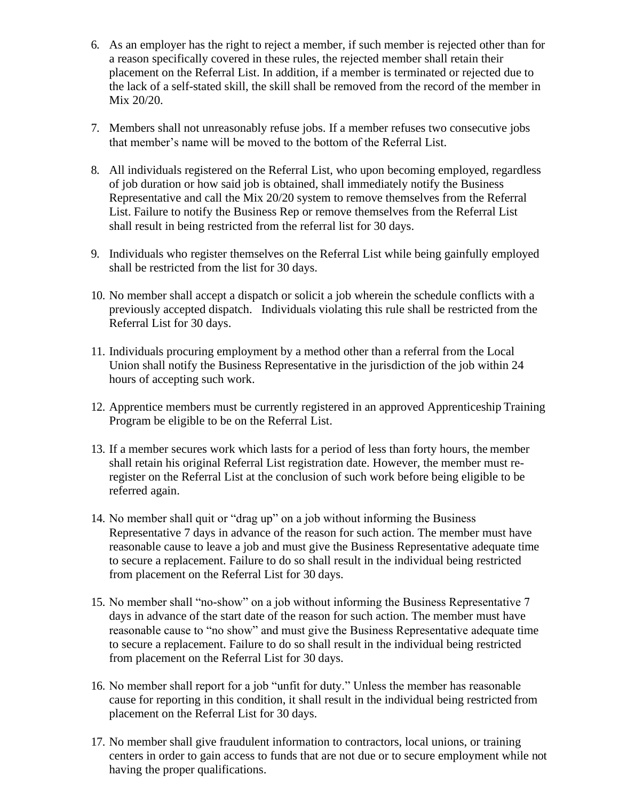- 6. As an employer has the right to reject a member, if such member is rejected other than for a reason specifically covered in these rules, the rejected member shall retain their placement on the Referral List. In addition, if a member is terminated or rejected due to the lack of a self-stated skill, the skill shall be removed from the record of the member in Mix 20/20.
- 7. Members shall not unreasonably refuse jobs. If a member refuses two consecutive jobs that member's name will be moved to the bottom of the Referral List.
- 8. All individuals registered on the Referral List, who upon becoming employed, regardless of job duration or how said job is obtained, shall immediately notify the Business Representative and call the Mix 20/20 system to remove themselves from the Referral List. Failure to notify the Business Rep or remove themselves from the Referral List shall result in being restricted from the referral list for 30 days.
- 9. Individuals who register themselves on the Referral List while being gainfully employed shall be restricted from the list for 30 days.
- 10. No member shall accept a dispatch or solicit a job wherein the schedule conflicts with a previously accepted dispatch. Individuals violating this rule shall be restricted from the Referral List for 30 days.
- 11. Individuals procuring employment by a method other than a referral from the Local Union shall notify the Business Representative in the jurisdiction of the job within 24 hours of accepting such work.
- 12. Apprentice members must be currently registered in an approved Apprenticeship Training Program be eligible to be on the Referral List.
- 13. If a member secures work which lasts for a period of less than forty hours, the member shall retain his original Referral List registration date. However, the member must reregister on the Referral List at the conclusion of such work before being eligible to be referred again.
- 14. No member shall quit or "drag up" on a job without informing the Business Representative 7 days in advance of the reason for such action. The member must have reasonable cause to leave a job and must give the Business Representative adequate time to secure a replacement. Failure to do so shall result in the individual being restricted from placement on the Referral List for 30 days.
- 15. No member shall "no-show" on a job without informing the Business Representative 7 days in advance of the start date of the reason for such action. The member must have reasonable cause to "no show" and must give the Business Representative adequate time to secure a replacement. Failure to do so shall result in the individual being restricted from placement on the Referral List for 30 days.
- 16. No member shall report for a job "unfit for duty." Unless the member has reasonable cause for reporting in this condition, it shall result in the individual being restricted from placement on the Referral List for 30 days.
- 17. No member shall give fraudulent information to contractors, local unions, or training centers in order to gain access to funds that are not due or to secure employment while not having the proper qualifications.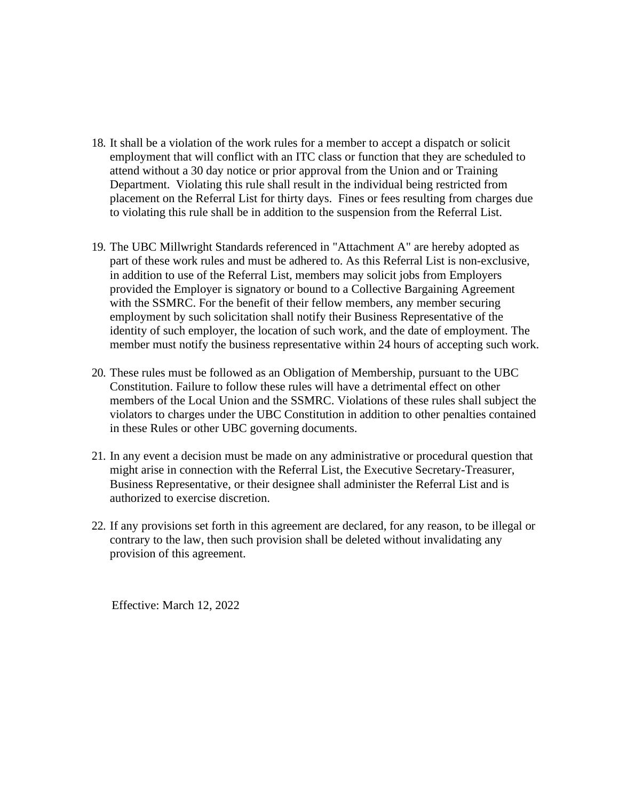- 18. It shall be a violation of the work rules for a member to accept a dispatch or solicit employment that will conflict with an ITC class or function that they are scheduled to attend without a 30 day notice or prior approval from the Union and or Training Department. Violating this rule shall result in the individual being restricted from placement on the Referral List for thirty days. Fines or fees resulting from charges due to violating this rule shall be in addition to the suspension from the Referral List.
- 19. The UBC Millwright Standards referenced in "Attachment A" are hereby adopted as part of these work rules and must be adhered to. As this Referral List is non-exclusive, in addition to use of the Referral List, members may solicit jobs from Employers provided the Employer is signatory or bound to a Collective Bargaining Agreement with the SSMRC. For the benefit of their fellow members, any member securing employment by such solicitation shall notify their Business Representative of the identity of such employer, the location of such work, and the date of employment. The member must notify the business representative within 24 hours of accepting such work.
- 20. These rules must be followed as an Obligation of Membership, pursuant to the UBC Constitution. Failure to follow these rules will have a detrimental effect on other members of the Local Union and the SSMRC. Violations of these rules shall subject the violators to charges under the UBC Constitution in addition to other penalties contained in these Rules or other UBC governing documents.
- 21. In any event a decision must be made on any administrative or procedural question that might arise in connection with the Referral List, the Executive Secretary-Treasurer, Business Representative, or their designee shall administer the Referral List and is authorized to exercise discretion.
- 22. If any provisions set forth in this agreement are declared, for any reason, to be illegal or contrary to the law, then such provision shall be deleted without invalidating any provision of this agreement.

Effective: March 12, 2022